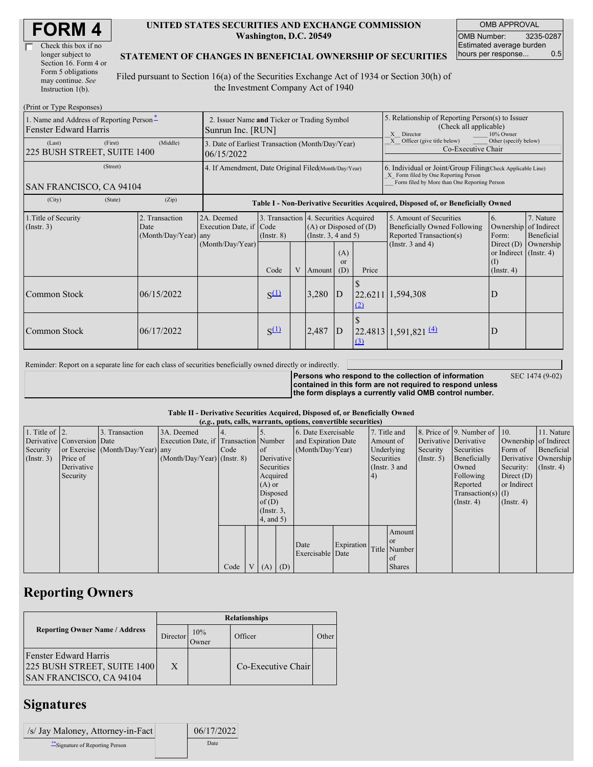| Check this box if no  |
|-----------------------|
| longer subject to     |
| Section 16. Form 4 or |
| Form 5 obligations    |
| may continue. See     |
| Instruction $1(b)$ .  |

#### **UNITED STATES SECURITIES AND EXCHANGE COMMISSION Washington, D.C. 20549**

OMB APPROVAL OMB Number: 3235-0287 Estimated average burden hours per response... 0.5

#### **STATEMENT OF CHANGES IN BENEFICIAL OWNERSHIP OF SECURITIES**

Filed pursuant to Section 16(a) of the Securities Exchange Act of 1934 or Section 30(h) of the Investment Company Act of 1940

| (Print or Type Responses)                                                |                                                                  |                                                      |                                                                          |   |                                                                  |                             |                                                                                                                                                    |                                                                                                             |                                                                                                        |                                                     |  |
|--------------------------------------------------------------------------|------------------------------------------------------------------|------------------------------------------------------|--------------------------------------------------------------------------|---|------------------------------------------------------------------|-----------------------------|----------------------------------------------------------------------------------------------------------------------------------------------------|-------------------------------------------------------------------------------------------------------------|--------------------------------------------------------------------------------------------------------|-----------------------------------------------------|--|
| 1. Name and Address of Reporting Person-<br><b>Fenster Edward Harris</b> | 2. Issuer Name and Ticker or Trading Symbol<br>Sunrun Inc. [RUN] |                                                      |                                                                          |   |                                                                  |                             | 5. Relationship of Reporting Person(s) to Issuer<br>(Check all applicable)<br>X Director<br>10% Owner                                              |                                                                                                             |                                                                                                        |                                                     |  |
| (First)<br>(Last)<br>225 BUSH STREET, SUITE 1400                         | 3. Date of Earliest Transaction (Month/Day/Year)<br>06/15/2022   |                                                      |                                                                          |   |                                                                  |                             | Officer (give title below)<br>Other (specify below)<br>Co-Executive Chair                                                                          |                                                                                                             |                                                                                                        |                                                     |  |
| (Street)<br>SAN FRANCISCO, CA 94104                                      | 4. If Amendment, Date Original Filed(Month/Day/Year)             |                                                      |                                                                          |   |                                                                  |                             | 6. Individual or Joint/Group Filing(Check Applicable Line)<br>X Form filed by One Reporting Person<br>Form filed by More than One Reporting Person |                                                                                                             |                                                                                                        |                                                     |  |
| (State)<br>(City)                                                        | (Zip)                                                            |                                                      |                                                                          |   |                                                                  |                             |                                                                                                                                                    | Table I - Non-Derivative Securities Acquired, Disposed of, or Beneficially Owned                            |                                                                                                        |                                                     |  |
| 1. Title of Security<br>(Insert. 3)                                      | 2. Transaction<br>Date<br>(Month/Day/Year) any                   | 2A. Deemed<br>Execution Date, if<br>(Month/Day/Year) | 3. Transaction 4. Securities Acquired<br>Code<br>$($ Instr. $8)$<br>Code | V | $(A)$ or Disposed of $(D)$<br>(Instr. $3, 4$ and $5$ )<br>Amount | (A)<br><sub>or</sub><br>(D) | Price                                                                                                                                              | 5. Amount of Securities<br>Beneficially Owned Following<br>Reported Transaction(s)<br>(Instr. $3$ and $4$ ) | 6.<br>Ownership<br>Form:<br>Direct $(D)$<br>or Indirect $($ Instr. 4 $)$<br>$($ I)<br>$($ Instr. 4 $)$ | 7. Nature<br>of Indirect<br>Beneficial<br>Ownership |  |
| Common Stock                                                             | 06/15/2022                                                       |                                                      | $S^{(1)}$                                                                |   | 3,280                                                            | $\overline{D}$              | (2)                                                                                                                                                | 22.6211 1,594,308                                                                                           | D                                                                                                      |                                                     |  |
| Common Stock                                                             | 06/17/2022                                                       |                                                      | $S^{(1)}$                                                                |   | 2,487                                                            | D                           | $\Omega$                                                                                                                                           | 22.4813   1,591,821   4)                                                                                    | D                                                                                                      |                                                     |  |

Reminder: Report on a separate line for each class of securities beneficially owned directly or indirectly.

**Persons who respond to the collection of information contained in this form are not required to respond unless the form displays a currently valid OMB control number.**

SEC 1474 (9-02)

**Table II - Derivative Securities Acquired, Disposed of, or Beneficially Owned**

| (e.g., puts, calls, warrants, options, convertible securities) |                            |                                  |                                       |      |                |                 |            |                     |            |            |                 |             |                              |                       |                      |
|----------------------------------------------------------------|----------------------------|----------------------------------|---------------------------------------|------|----------------|-----------------|------------|---------------------|------------|------------|-----------------|-------------|------------------------------|-----------------------|----------------------|
| 1. Title of $\vert$ 2.                                         |                            | 3. Transaction                   | 3A. Deemed                            |      |                |                 |            | 6. Date Exercisable |            |            | 7. Title and    |             | 8. Price of 9. Number of 10. |                       | 11. Nature           |
|                                                                | Derivative Conversion Date |                                  | Execution Date, if Transaction Number |      |                |                 |            | and Expiration Date |            | Amount of  |                 |             | Derivative Derivative        | Ownership of Indirect |                      |
| Security                                                       |                            | or Exercise (Month/Day/Year) any |                                       | Code |                | of              |            | (Month/Day/Year)    |            |            | Underlying      | Security    | Securities                   | Form of               | Beneficial           |
| (Insert. 3)                                                    | Price of                   |                                  | $(Month/Day/Year)$ (Instr. 8)         |      |                |                 | Derivative |                     |            | Securities |                 | (Insert. 5) | Beneficially                 |                       | Derivative Ownership |
|                                                                | Derivative                 |                                  |                                       |      |                | Securities      |            |                     |            |            | (Instr. $3$ and |             | Owned                        | Security:             | $($ Instr. 4 $)$     |
|                                                                | Security                   |                                  |                                       |      |                | Acquired        |            |                     |            | (4)        |                 |             | Following                    | Direct $(D)$          |                      |
|                                                                |                            |                                  |                                       |      |                | $(A)$ or        |            |                     |            |            |                 |             | Reported                     | or Indirect           |                      |
|                                                                |                            |                                  |                                       |      |                | Disposed        |            |                     |            |            |                 |             | $Transaction(s)$ (I)         |                       |                      |
|                                                                |                            |                                  |                                       |      |                | of(D)           |            |                     |            |            |                 |             | $($ Instr. 4 $)$             | $($ Instr. 4 $)$      |                      |
|                                                                |                            |                                  |                                       |      |                | $($ Instr. $3,$ |            |                     |            |            |                 |             |                              |                       |                      |
|                                                                |                            |                                  |                                       |      |                | 4, and 5)       |            |                     |            |            |                 |             |                              |                       |                      |
|                                                                |                            |                                  |                                       |      |                |                 |            |                     |            |            | Amount          |             |                              |                       |                      |
|                                                                |                            |                                  |                                       |      |                |                 |            |                     |            |            | <b>or</b>       |             |                              |                       |                      |
|                                                                |                            |                                  |                                       |      |                |                 |            | Date                | Expiration |            | Title Number    |             |                              |                       |                      |
|                                                                |                            |                                  |                                       |      |                |                 |            | Exercisable Date    |            |            | of              |             |                              |                       |                      |
|                                                                |                            |                                  |                                       | Code | V <sub>1</sub> | $(A)$ $(D)$     |            |                     |            |            | <b>Shares</b>   |             |                              |                       |                      |

# **Reporting Owners**

|                                                                                               | <b>Relationships</b> |              |                    |       |  |  |  |  |
|-----------------------------------------------------------------------------------------------|----------------------|--------------|--------------------|-------|--|--|--|--|
| <b>Reporting Owner Name / Address</b>                                                         | Director             | 10%<br>Owner | Officer            | Other |  |  |  |  |
| <b>Fenster Edward Harris</b><br>225 BUSH STREET, SUITE 1400<br><b>SAN FRANCISCO, CA 94104</b> | X                    |              | Co-Executive Chair |       |  |  |  |  |

### **Signatures**

| /s/ Jay Maloney, Attorney-in-Fact | 06/17/2022 |
|-----------------------------------|------------|
| ** Signature of Reporting Person  | Date       |